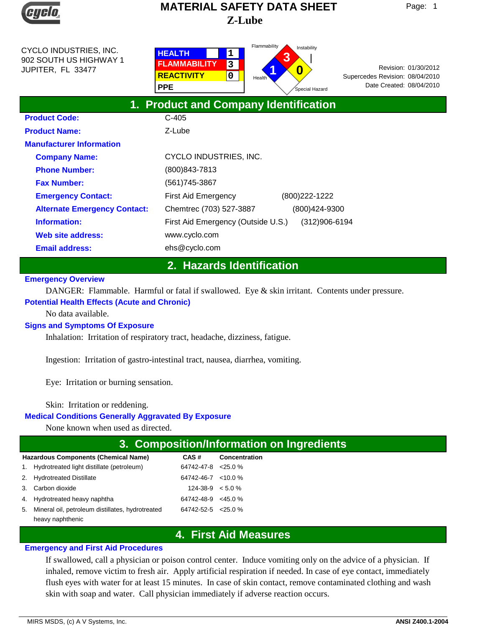

**Product Code:** 

# **Z-Lube MATERIAL SAFETY DATA SHEET**

CYCLO INDUSTRIES, INC. 902 SOUTH US HIGHWAY 1 JUPITER, FL 33477

| <b>HEALTH</b><br><b>FLAMMABILITY</b><br><b>REACTIVITY</b><br><b>PPE</b> | з<br>0 | Flammability<br>Instability<br>w.<br>4<br>Health <sup>'</sup><br>Special Hazard | Supercedes Revision: 08/04/2010<br>Date Created: 08/04/2010 | Revision: 01/30/2012 |
|-------------------------------------------------------------------------|--------|---------------------------------------------------------------------------------|-------------------------------------------------------------|----------------------|
|                                                                         |        | 1. Product and Company Identification                                           |                                                             |                      |
| C-405                                                                   |        |                                                                                 |                                                             |                      |

| <b>Product Name:</b>                | $Z$ -Lube                          |                |
|-------------------------------------|------------------------------------|----------------|
| <b>Manufacturer Information</b>     |                                    |                |
| <b>Company Name:</b>                | CYCLO INDUSTRIES, INC.             |                |
| <b>Phone Number:</b>                | (800) 843-7813                     |                |
| <b>Fax Number:</b>                  | (561)745-3867                      |                |
| <b>Emergency Contact:</b>           | <b>First Aid Emergency</b>         | (800) 222-1222 |
| <b>Alternate Emergency Contact:</b> | Chemtrec (703) 527-3887            | (800)424-9300  |
| Information:                        | First Aid Emergency (Outside U.S.) | (312)906-6194  |
| Web site address:                   | www.cyclo.com                      |                |
| <b>Email address:</b>               | ehs@cyclo.com                      |                |

# **2. Hazards Identification**

#### **Emergency Overview**

DANGER: Flammable. Harmful or fatal if swallowed. Eye & skin irritant. Contents under pressure.

#### **Potential Health Effects (Acute and Chronic)**

No data available.

### **Signs and Symptoms Of Exposure**

Inhalation: Irritation of respiratory tract, headache, dizziness, fatigue.

Ingestion: Irritation of gastro-intestinal tract, nausea, diarrhea, vomiting.

Eye: Irritation or burning sensation.

Skin: Irritation or reddening.

#### **Medical Conditions Generally Aggravated By Exposure**

None known when used as directed.

# **3. Composition/Information on Ingredients**

|    | <b>Hazardous Components (Chemical Name)</b>      | CAS #                     | Concentration |
|----|--------------------------------------------------|---------------------------|---------------|
|    | 1. Hydrotreated light distillate (petroleum)     | $64742 - 47 - 8 < 25.0$ % |               |
|    | 2. Hydrotreated Distillate                       | $64742 - 46 - 7$ < 10.0 % |               |
|    | 3. Carbon dioxide                                | $124-38-9$ < 5.0 %        |               |
|    | 4. Hydrotreated heavy naphtha                    | $64742 - 48 - 9$ < 45.0 % |               |
| 5. | Mineral oil, petroleum distillates, hydrotreated | $64742 - 52 - 5 < 25.0$ % |               |
|    | heavy naphthenic                                 |                           |               |

# **4. First Aid Measures**

#### **Emergency and First Aid Procedures**

If swallowed, call a physician or poison control center. Induce vomiting only on the advice of a physician. If inhaled, remove victim to fresh air. Apply artificial respiration if needed. In case of eye contact, immediately flush eyes with water for at least 15 minutes. In case of skin contact, remove contaminated clothing and wash skin with soap and water. Call physician immediately if adverse reaction occurs.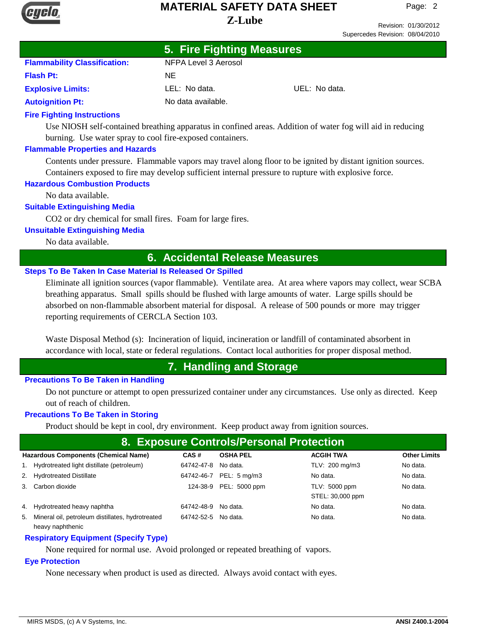

**5. Fire Fighting Measures**

Revision: 01/30/2012 Supercedes Revision: 08/04/2010

|                                     | <b>U. FILE FIGHTING MEASULES</b> |               |
|-------------------------------------|----------------------------------|---------------|
| <b>Flammability Classification:</b> | NFPA Level 3 Aerosol             |               |
| <b>Flash Pt:</b>                    | NF.                              |               |
| <b>Explosive Limits:</b>            | LEL: No data.                    | UEL: No data. |
| <b>Autoignition Pt:</b>             | No data available.               |               |
|                                     |                                  |               |

#### **Fire Fighting Instructions**

Use NIOSH self-contained breathing apparatus in confined areas. Addition of water fog will aid in reducing burning. Use water spray to cool fire-exposed containers.

#### **Flammable Properties and Hazards**

Contents under pressure. Flammable vapors may travel along floor to be ignited by distant ignition sources. Containers exposed to fire may develop sufficient internal pressure to rupture with explosive force.

#### **Hazardous Combustion Products**

No data available.

#### **Suitable Extinguishing Media**

CO2 or dry chemical for small fires. Foam for large fires.

#### **Unsuitable Extinguishing Media**

No data available.

# **6. Accidental Release Measures**

#### **Steps To Be Taken In Case Material Is Released Or Spilled**

Eliminate all ignition sources (vapor flammable). Ventilate area. At area where vapors may collect, wear SCBA breathing apparatus. Small spills should be flushed with large amounts of water. Large spills should be absorbed on non-flammable absorbent material for disposal. A release of 500 pounds or more may trigger reporting requirements of CERCLA Section 103.

Waste Disposal Method (s): Incineration of liquid, incineration or landfill of contaminated absorbent in accordance with local, state or federal regulations. Contact local authorities for proper disposal method.

# **7. Handling and Storage**

#### **Precautions To Be Taken in Handling**

Do not puncture or attempt to open pressurized container under any circumstances. Use only as directed. Keep out of reach of children.

#### **Precautions To Be Taken in Storing**

Product should be kept in cool, dry environment. Keep product away from ignition sources.

| 8. Exposure Controls/Personal Protection                                                                          |            |                         |                                   |          |  |  |  |  |
|-------------------------------------------------------------------------------------------------------------------|------------|-------------------------|-----------------------------------|----------|--|--|--|--|
| <b>Hazardous Components (Chemical Name)</b><br><b>ACGIH TWA</b><br><b>Other Limits</b><br>CAS#<br><b>OSHA PEL</b> |            |                         |                                   |          |  |  |  |  |
| 1. Hydrotreated light distillate (petroleum)                                                                      | 64742-47-8 | No data.                | TLV: 200 mg/m3                    | No data. |  |  |  |  |
| 2. Hydrotreated Distillate                                                                                        | 64742-46-7 | PEL: $5 \text{ mg/m}$ 3 | No data.                          | No data. |  |  |  |  |
| 3. Carbon dioxide                                                                                                 | 124-38-9   | PEL: 5000 ppm           | TLV: 5000 ppm<br>STEL: 30,000 ppm | No data. |  |  |  |  |
| 4. Hydrotreated heavy naphtha                                                                                     | 64742-48-9 | No data.                | No data.                          | No data. |  |  |  |  |
| 5. Mineral oil, petroleum distillates, hydrotreated<br>heavy naphthenic                                           | 64742-52-5 | No data.                | No data.                          | No data. |  |  |  |  |

#### **Respiratory Equipment (Specify Type)**

None required for normal use. Avoid prolonged or repeated breathing of vapors.

#### **Eye Protection**

None necessary when product is used as directed. Always avoid contact with eyes.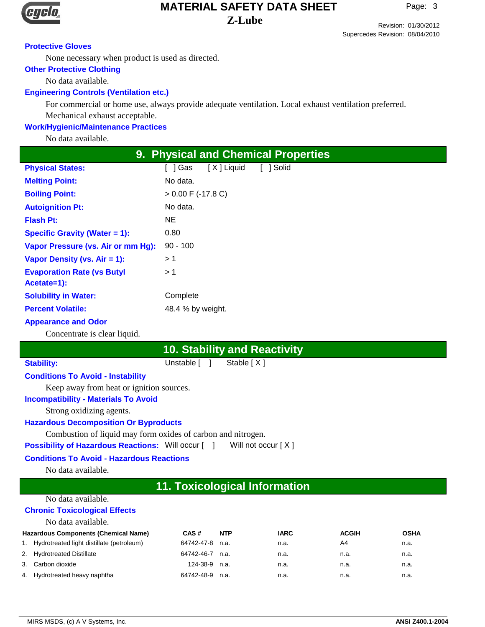

Revision: 01/30/2012 Supercedes Revision: 08/04/2010

#### **Protective Gloves**

None necessary when product is used as directed.

#### **Other Protective Clothing**

No data available.

#### **Engineering Controls (Ventilation etc.)**

For commercial or home use, always provide adequate ventilation. Local exhaust ventilation preferred. Mechanical exhaust acceptable.

#### **Work/Hygienic/Maintenance Practices**

No data available.

| <b>9. Physical and Chemical Properties</b>       |                                   |  |  |  |  |  |
|--------------------------------------------------|-----------------------------------|--|--|--|--|--|
| <b>Physical States:</b>                          | [X] Liquid<br>[ ] Solid<br>「 ]Gas |  |  |  |  |  |
| <b>Melting Point:</b>                            | No data.                          |  |  |  |  |  |
| <b>Boiling Point:</b>                            | $> 0.00$ F (-17.8 C)              |  |  |  |  |  |
| <b>Autoignition Pt:</b>                          | No data.                          |  |  |  |  |  |
| <b>Flash Pt:</b>                                 | NE.                               |  |  |  |  |  |
| Specific Gravity (Water $= 1$ ):                 | 0.80                              |  |  |  |  |  |
| Vapor Pressure (vs. Air or mm Hg):               | $90 - 100$                        |  |  |  |  |  |
| Vapor Density (vs. $Air = 1$ ):                  | >1                                |  |  |  |  |  |
| <b>Evaporation Rate (vs Butyl</b><br>Acetate=1): | > 1                               |  |  |  |  |  |
| <b>Solubility in Water:</b>                      | Complete                          |  |  |  |  |  |
| <b>Percent Volatile:</b>                         | 48.4 % by weight.                 |  |  |  |  |  |
| Amperison and Oder                               |                                   |  |  |  |  |  |

#### **Appearance and Odor**

Concentrate is clear liquid.

# **10. Stability and Reactivity**

Stability: Unstable [ ] Stable [ X ]

**Conditions To Avoid - Instability**

Keep away from heat or ignition sources.

#### **Incompatibility - Materials To Avoid**

Strong oxidizing agents.

#### **Hazardous Decomposition Or Byproducts**

Combustion of liquid may form oxides of carbon and nitrogen.

**Possibility of Hazardous Reactions:** Will occur [ ] Will not occur [ X ]

### **Conditions To Avoid - Hazardous Reactions**

No data available.

# **11. Toxicological Information**

### No data available.

### **Chronic Toxicological Effects**

| No data available.                           |            |            |             |              |             |
|----------------------------------------------|------------|------------|-------------|--------------|-------------|
| <b>Hazardous Components (Chemical Name)</b>  | CAS#       | <b>NTP</b> | <b>IARC</b> | <b>ACGIH</b> | <b>OSHA</b> |
| 1. Hydrotreated light distillate (petroleum) | 64742-47-8 | n.a.       | n.a.        | A4           | n.a.        |
| 2. Hydrotreated Distillate                   | 64742-46-7 | n.a.       | n.a.        | n.a.         | n.a.        |
| 3. Carbon dioxide                            | 124-38-9   | n.a.       | n.a.        | n.a.         | n.a.        |
| 4. Hydrotreated heavy naphtha                | 64742-48-9 | n.a.       | n.a.        | n.a.         | n.a.        |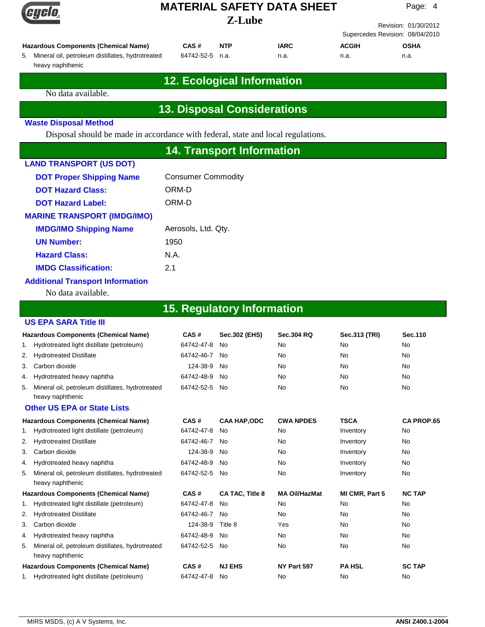## **Z-Lube MATERIAL SAFETY DATA SHEET**

Page: 4

Revision: 01/30/2012 Supercedes Revision: 08/04/2010

| <b>Hazardous Components (Chemical Name)</b>         | CAS#            | <b>NTP</b> | <b>IARC</b> | <b>ACGIH</b> | <b>OSHA</b> |
|-----------------------------------------------------|-----------------|------------|-------------|--------------|-------------|
| 5. Mineral oil, petroleum distillates, hydrotreated | 64742-52-5 n.a. |            | n.a.        | n.a.         | n.a.        |
| heavy naphthenic                                    |                 |            |             |              |             |

# **12. Ecological Information**

No data available.

# **13. Disposal Considerations**

#### **Waste Disposal Method**

Disposal should be made in accordance with federal, state and local regulations.

# **14. Transport Information**

| <b>LAND TRANSPORT (US DOT)</b>     |                           |
|------------------------------------|---------------------------|
| <b>DOT Proper Shipping Name</b>    | <b>Consumer Commodity</b> |
| <b>DOT Hazard Class:</b>           | ORM-D                     |
| <b>DOT Hazard Label:</b>           | ORM-D                     |
| <b>MARINE TRANSPORT (IMDG/IMO)</b> |                           |
| <b>IMDG/IMO Shipping Name</b>      | Aerosols, Ltd. Qty.       |
| <b>UN Number:</b>                  | 1950                      |
| <b>Hazard Class:</b>               | N A                       |
| <b>IMDG Classification:</b>        | 2.1                       |
| Additional Tranonort Information   |                           |

#### **Additional Transport Information**

No data available.

# **15. Regulatory Information**

|                                                                                                                        | <b>US EPA SARA Title III</b>                                            |               |     |           |    |    |  |  |
|------------------------------------------------------------------------------------------------------------------------|-------------------------------------------------------------------------|---------------|-----|-----------|----|----|--|--|
| Sec. 110<br><b>Hazardous Components (Chemical Name)</b><br><b>Sec.302 (EHS)</b><br>Sec.313 (TRI)<br>CAS#<br>Sec.304 RQ |                                                                         |               |     |           |    |    |  |  |
|                                                                                                                        | 1. Hydrotreated light distillate (petroleum)                            | 64742-47-8    | No. | No        | No | No |  |  |
|                                                                                                                        | 2. Hydrotreated Distillate                                              | 64742-46-7    | No. | <b>No</b> | No | No |  |  |
|                                                                                                                        | 3. Carbon dioxide                                                       | 124-38-9      | No. | No        | No | No |  |  |
|                                                                                                                        | 4. Hydrotreated heavy naphtha                                           | 64742-48-9    | No. | <b>No</b> | No | No |  |  |
|                                                                                                                        | 5. Mineral oil, petroleum distillates, hydrotreated<br>heavy naphthenic | 64742-52-5 No |     | <b>No</b> | No | No |  |  |

#### **Other US EPA or State Lists**

|    | <b>Hazardous Components (Chemical Name)</b>                          | CAS#          | <b>CAA HAP,ODC</b> | <b>CWA NPDES</b>     | <b>TSCA</b>    | <b>CA PROP.65</b> |
|----|----------------------------------------------------------------------|---------------|--------------------|----------------------|----------------|-------------------|
|    | 1. Hydrotreated light distillate (petroleum)                         | 64742-47-8    | No                 | <b>No</b>            | Inventory      | <b>No</b>         |
|    | 2. Hydrotreated Distillate                                           | 64742-46-7    | No.                | <b>No</b>            | Inventory      | <b>No</b>         |
| 3. | Carbon dioxide                                                       | 124-38-9      | No                 | <b>No</b>            | Inventory      | <b>No</b>         |
|    | 4. Hydrotreated heavy naphtha                                        | 64742-48-9    | No                 | <b>No</b>            | Inventory      | <b>No</b>         |
| 5. | Mineral oil, petroleum distillates, hydrotreated<br>heavy naphthenic | 64742-52-5    | No.                | No                   | Inventory      | No                |
|    | <b>Hazardous Components (Chemical Name)</b>                          | CAS#          | CA TAC, Title 8    | <b>MA Oil/HazMat</b> | MI CMR, Part 5 | <b>NC TAP</b>     |
|    | 1. Hydrotreated light distillate (petroleum)                         | 64742-47-8    | No                 | <b>No</b>            | <b>No</b>      | <b>No</b>         |
|    | 2. Hydrotreated Distillate                                           | 64742-46-7    | No.                | <b>No</b>            | <b>No</b>      | <b>No</b>         |
| 3. | Carbon dioxide                                                       | 124-38-9      | Title 8            | Yes                  | <b>No</b>      | <b>No</b>         |
|    | 4. Hydrotreated heavy naphtha                                        | 64742-48-9    | No.                | No.                  | <b>No</b>      | <b>No</b>         |
| 5. | Mineral oil, petroleum distillates, hydrotreated<br>heavy naphthenic | 64742-52-5 No |                    | <b>No</b>            | <b>No</b>      | No.               |
|    | Hazardous Components (Chemical Name)                                 | CAS#          | <b>NJ EHS</b>      | NY Part 597          | <b>PA HSL</b>  | <b>SC TAP</b>     |
|    | 1. Hydrotreated light distillate (petroleum)                         | 64742-47-8    | No                 | No                   | <b>No</b>      | No                |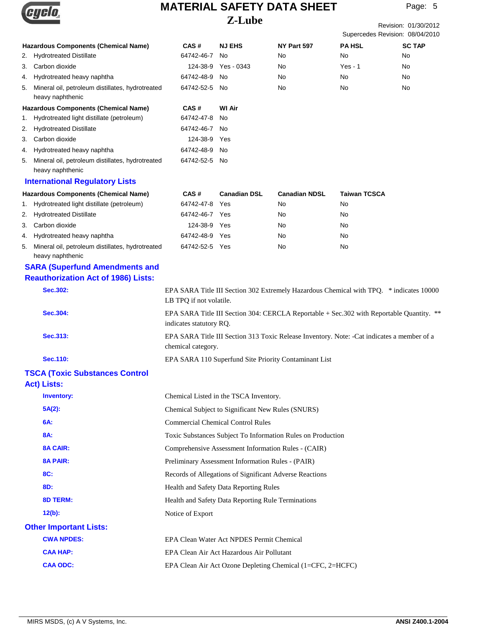

|          |                                                                      |                                                                                                                      | L-Ludc                                             |                                                                                            |                     | Revision: 01/30/2012<br>Supercedes Revision: 08/04/2010 |  |
|----------|----------------------------------------------------------------------|----------------------------------------------------------------------------------------------------------------------|----------------------------------------------------|--------------------------------------------------------------------------------------------|---------------------|---------------------------------------------------------|--|
|          | Hazardous Components (Chemical Name)                                 | CAS#                                                                                                                 | <b>NJ EHS</b>                                      | NY Part 597                                                                                | <b>PA HSL</b>       | <b>SC TAP</b>                                           |  |
|          | 2. Hydrotreated Distillate                                           | 64742-46-7                                                                                                           | No                                                 | No                                                                                         | No                  | No                                                      |  |
| 3.       | Carbon dioxide                                                       | 124-38-9                                                                                                             | Yes - 0343                                         | No                                                                                         | $Yes - 1$           | No                                                      |  |
| 4.       | Hydrotreated heavy naphtha                                           | 64742-48-9                                                                                                           | No                                                 | No                                                                                         | No                  | No                                                      |  |
| 5.       | Mineral oil, petroleum distillates, hydrotreated<br>heavy naphthenic | 64742-52-5 No                                                                                                        |                                                    | No                                                                                         | No                  | No                                                      |  |
|          | <b>Hazardous Components (Chemical Name)</b>                          | CAS#                                                                                                                 | <b>WI Air</b>                                      |                                                                                            |                     |                                                         |  |
| 1.       | Hydrotreated light distillate (petroleum)                            | 64742-47-8                                                                                                           | No                                                 |                                                                                            |                     |                                                         |  |
| 2.       | <b>Hydrotreated Distillate</b>                                       | 64742-46-7 No                                                                                                        |                                                    |                                                                                            |                     |                                                         |  |
| 3.       | Carbon dioxide                                                       | 124-38-9 Yes                                                                                                         |                                                    |                                                                                            |                     |                                                         |  |
| 4.       | Hydrotreated heavy naphtha                                           | 64742-48-9 No                                                                                                        |                                                    |                                                                                            |                     |                                                         |  |
| 5.       | Mineral oil, petroleum distillates, hydrotreated<br>heavy naphthenic | 64742-52-5 No                                                                                                        |                                                    |                                                                                            |                     |                                                         |  |
|          | <b>International Regulatory Lists</b>                                |                                                                                                                      |                                                    |                                                                                            |                     |                                                         |  |
|          | <b>Hazardous Components (Chemical Name)</b>                          | CAS#                                                                                                                 | <b>Canadian DSL</b>                                | <b>Canadian NDSL</b>                                                                       | <b>Taiwan TCSCA</b> |                                                         |  |
| 1.       | Hydrotreated light distillate (petroleum)                            | 64742-47-8                                                                                                           | Yes                                                | No                                                                                         | No                  |                                                         |  |
| 2.       | <b>Hydrotreated Distillate</b>                                       | 64742-46-7 Yes                                                                                                       |                                                    | No                                                                                         | No                  |                                                         |  |
| 3.       | Carbon dioxide                                                       | 124-38-9 Yes                                                                                                         |                                                    | No                                                                                         | No                  |                                                         |  |
| 4.       | Hydrotreated heavy naphtha                                           | 64742-48-9 Yes                                                                                                       |                                                    | No                                                                                         | No                  |                                                         |  |
| 5.       | Mineral oil, petroleum distillates, hydrotreated<br>heavy naphthenic | 64742-52-5 Yes                                                                                                       |                                                    | No                                                                                         | No                  |                                                         |  |
|          | <b>SARA (Superfund Amendments and</b>                                |                                                                                                                      |                                                    |                                                                                            |                     |                                                         |  |
|          | <b>Reauthorization Act of 1986) Lists:</b>                           |                                                                                                                      |                                                    |                                                                                            |                     |                                                         |  |
|          | Sec.302:                                                             | LB TPQ if not volatile.                                                                                              |                                                    | EPA SARA Title III Section 302 Extremely Hazardous Chemical with TPQ. * indicates 10000    |                     |                                                         |  |
| Sec.304: |                                                                      | EPA SARA Title III Section 304: CERCLA Reportable + Sec. 302 with Reportable Quantity. **<br>indicates statutory RQ. |                                                    |                                                                                            |                     |                                                         |  |
|          | Sec.313:                                                             | chemical category.                                                                                                   |                                                    | EPA SARA Title III Section 313 Toxic Release Inventory. Note: -Cat indicates a member of a |                     |                                                         |  |
|          | Sec.110:                                                             |                                                                                                                      |                                                    | EPA SARA 110 Superfund Site Priority Contaminant List                                      |                     |                                                         |  |
|          | <b>TSCA (Toxic Substances Control</b><br><b>Act) Lists:</b>          |                                                                                                                      |                                                    |                                                                                            |                     |                                                         |  |
|          | <b>Inventory:</b>                                                    |                                                                                                                      | Chemical Listed in the TSCA Inventory.             |                                                                                            |                     |                                                         |  |
|          | $5A(2)$ :                                                            |                                                                                                                      | Chemical Subject to Significant New Rules (SNURS)  |                                                                                            |                     |                                                         |  |
|          | 6A:                                                                  | <b>Commercial Chemical Control Rules</b>                                                                             |                                                    |                                                                                            |                     |                                                         |  |
|          | 8A:                                                                  | Toxic Substances Subject To Information Rules on Production                                                          |                                                    |                                                                                            |                     |                                                         |  |
|          | <b>8A CAIR:</b>                                                      | Comprehensive Assessment Information Rules - (CAIR)                                                                  |                                                    |                                                                                            |                     |                                                         |  |
|          | <b>8A PAIR:</b>                                                      |                                                                                                                      | Preliminary Assessment Information Rules - (PAIR)  |                                                                                            |                     |                                                         |  |
|          | 8C:                                                                  | Records of Allegations of Significant Adverse Reactions<br>Health and Safety Data Reporting Rules                    |                                                    |                                                                                            |                     |                                                         |  |
|          | 8D:                                                                  |                                                                                                                      |                                                    |                                                                                            |                     |                                                         |  |
|          | <b>8D TERM:</b>                                                      |                                                                                                                      | Health and Safety Data Reporting Rule Terminations |                                                                                            |                     |                                                         |  |
|          | $12(b)$ :                                                            | Notice of Export                                                                                                     |                                                    |                                                                                            |                     |                                                         |  |
|          | <b>Other Important Lists:</b>                                        |                                                                                                                      |                                                    |                                                                                            |                     |                                                         |  |
|          | <b>CWA NPDES:</b>                                                    |                                                                                                                      | EPA Clean Water Act NPDES Permit Chemical          |                                                                                            |                     |                                                         |  |
|          | <b>CAA HAP:</b>                                                      |                                                                                                                      | EPA Clean Air Act Hazardous Air Pollutant          |                                                                                            |                     |                                                         |  |
|          | <b>CAA ODC:</b>                                                      |                                                                                                                      |                                                    | EPA Clean Air Act Ozone Depleting Chemical (1=CFC, 2=HCFC)                                 |                     |                                                         |  |
|          |                                                                      |                                                                                                                      |                                                    |                                                                                            |                     |                                                         |  |